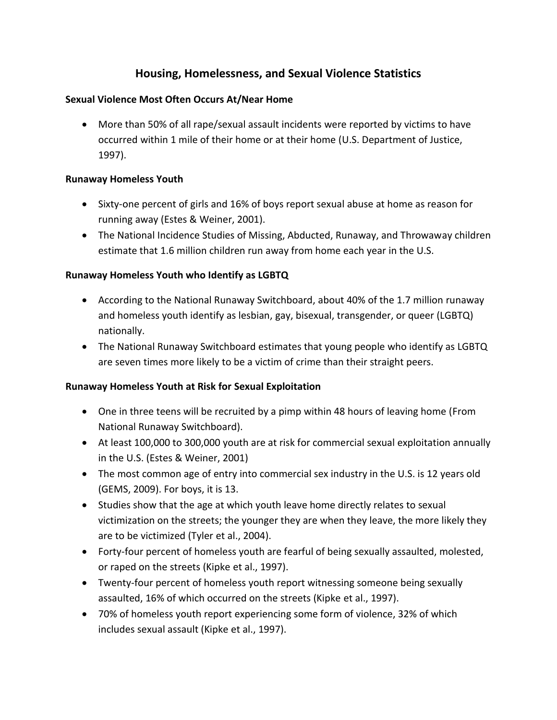# **Housing, Homelessness, and Sexual Violence Statistics**

## **Sexual Violence Most Often Occurs At/Near Home**

 More than 50% of all rape/sexual assault incidents were reported by victims to have occurred within 1 mile of their home or at their home (U.S. Department of Justice, 1997).

## **Runaway Homeless Youth**

- Sixty-one percent of girls and 16% of boys report sexual abuse at home as reason for running away (Estes & Weiner, 2001).
- The National Incidence Studies of Missing, Abducted, Runaway, and Throwaway children estimate that 1.6 million children run away from home each year in the U.S.

## **Runaway Homeless Youth who Identify as LGBTQ**

- According to the National Runaway Switchboard, about 40% of the 1.7 million runaway and homeless youth identify as lesbian, gay, bisexual, transgender, or queer (LGBTQ) nationally.
- The National Runaway Switchboard estimates that young people who identify as LGBTQ are seven times more likely to be a victim of crime than their straight peers.

#### **Runaway Homeless Youth at Risk for Sexual Exploitation**

- One in three teens will be recruited by a pimp within 48 hours of leaving home (From National Runaway Switchboard).
- At least 100,000 to 300,000 youth are at risk for commercial sexual exploitation annually in the U.S. (Estes & Weiner, 2001)
- The most common age of entry into commercial sex industry in the U.S. is 12 years old (GEMS, 2009). For boys, it is 13.
- Studies show that the age at which youth leave home directly relates to sexual victimization on the streets; the younger they are when they leave, the more likely they are to be victimized (Tyler et al., 2004).
- Forty-four percent of homeless youth are fearful of being sexually assaulted, molested, or raped on the streets (Kipke et al., 1997).
- Twenty-four percent of homeless youth report witnessing someone being sexually assaulted, 16% of which occurred on the streets (Kipke et al., 1997).
- 70% of homeless youth report experiencing some form of violence, 32% of which includes sexual assault (Kipke et al., 1997).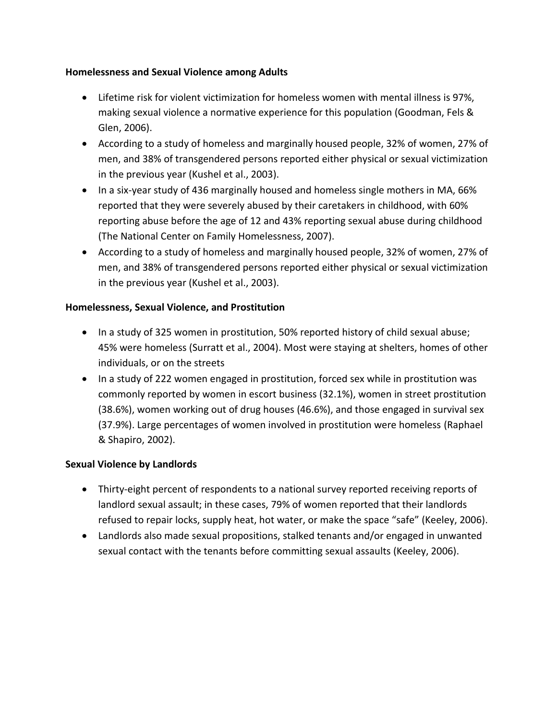## **Homelessness and Sexual Violence among Adults**

- Lifetime risk for violent victimization for homeless women with mental illness is 97%, making sexual violence a normative experience for this population (Goodman, Fels & Glen, 2006).
- According to a study of homeless and marginally housed people, 32% of women, 27% of men, and 38% of transgendered persons reported either physical or sexual victimization in the previous year (Kushel et al., 2003).
- In a six-year study of 436 marginally housed and homeless single mothers in MA, 66% reported that they were severely abused by their caretakers in childhood, with 60% reporting abuse before the age of 12 and 43% reporting sexual abuse during childhood (The National Center on Family Homelessness, 2007).
- According to a study of homeless and marginally housed people, 32% of women, 27% of men, and 38% of transgendered persons reported either physical or sexual victimization in the previous year (Kushel et al., 2003).

## **Homelessness, Sexual Violence, and Prostitution**

- In a study of 325 women in prostitution, 50% reported history of child sexual abuse; 45% were homeless (Surratt et al., 2004). Most were staying at shelters, homes of other individuals, or on the streets
- In a study of 222 women engaged in prostitution, forced sex while in prostitution was commonly reported by women in escort business (32.1%), women in street prostitution (38.6%), women working out of drug houses (46.6%), and those engaged in survival sex (37.9%). Large percentages of women involved in prostitution were homeless (Raphael & Shapiro, 2002).

## **Sexual Violence by Landlords**

- Thirty-eight percent of respondents to a national survey reported receiving reports of landlord sexual assault; in these cases, 79% of women reported that their landlords refused to repair locks, supply heat, hot water, or make the space "safe" (Keeley, 2006).
- Landlords also made sexual propositions, stalked tenants and/or engaged in unwanted sexual contact with the tenants before committing sexual assaults (Keeley, 2006).